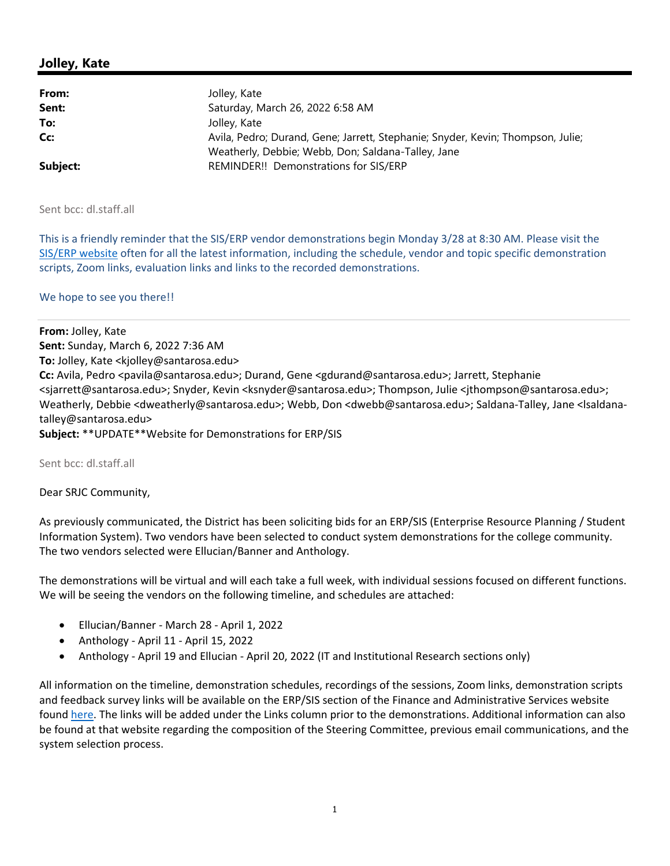# **Jolley, Kate**

| From:    | Jolley, Kate                                                                                                                          |
|----------|---------------------------------------------------------------------------------------------------------------------------------------|
| Sent:    | Saturday, March 26, 2022 6:58 AM                                                                                                      |
| To:      | Jolley, Kate                                                                                                                          |
| Cc:      | Avila, Pedro; Durand, Gene; Jarrett, Stephanie; Snyder, Kevin; Thompson, Julie;<br>Weatherly, Debbie; Webb, Don; Saldana-Talley, Jane |
| Subject: | REMINDER!! Demonstrations for SIS/ERP                                                                                                 |

Sent bcc: dl.staff.all

This is a friendly reminder that the SIS/ERP vendor demonstrations begin Monday 3/28 at 8:30 AM. Please visit the SIS/ERP website often for all the latest information, including the schedule, vendor and topic specific demonstration scripts, Zoom links, evaluation links and links to the recorded demonstrations.

### We hope to see you there!!

**From:** Jolley, Kate **Sent:** Sunday, March 6, 2022 7:36 AM **To:** Jolley, Kate <kjolley@santarosa.edu> **Cc:** Avila, Pedro <pavila@santarosa.edu>; Durand, Gene <gdurand@santarosa.edu>; Jarrett, Stephanie <sjarrett@santarosa.edu>; Snyder, Kevin <ksnyder@santarosa.edu>; Thompson, Julie <jthompson@santarosa.edu>; Weatherly, Debbie <dweatherly@santarosa.edu>; Webb, Don <dwebb@santarosa.edu>; Saldana‐Talley, Jane <lsaldana‐ talley@santarosa.edu> **Subject:** \*\*UPDATE\*\*Website for Demonstrations for ERP/SIS

Sent bcc: dl.staff.all

### Dear SRJC Community,

As previously communicated, the District has been soliciting bids for an ERP/SIS (Enterprise Resource Planning / Student Information System). Two vendors have been selected to conduct system demonstrations for the college community. The two vendors selected were Ellucian/Banner and Anthology.

The demonstrations will be virtual and will each take a full week, with individual sessions focused on different functions. We will be seeing the vendors on the following timeline, and schedules are attached:

- Ellucian/Banner ‐ March 28 ‐ April 1, 2022
- Anthology ‐ April 11 ‐ April 15, 2022
- Anthology ‐ April 19 and Ellucian ‐ April 20, 2022 (IT and Institutional Research sections only)

All information on the timeline, demonstration schedules, recordings of the sessions, Zoom links, demonstration scripts and feedback survey links will be available on the ERP/SIS section of the Finance and Administrative Services website found here. The links will be added under the Links column prior to the demonstrations. Additional information can also be found at that website regarding the composition of the Steering Committee, previous email communications, and the system selection process.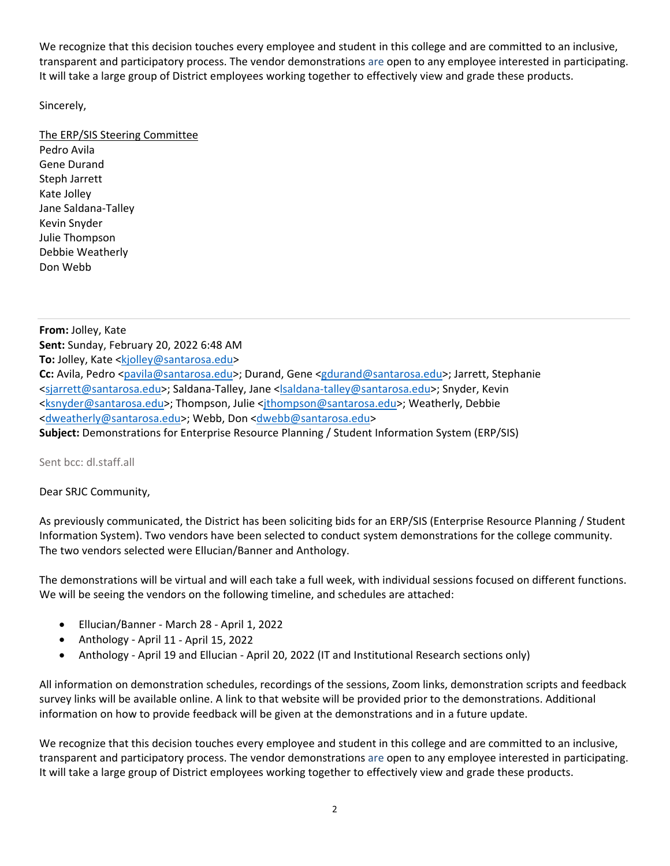We recognize that this decision touches every employee and student in this college and are committed to an inclusive, transparent and participatory process. The vendor demonstrations are open to any employee interested in participating. It will take a large group of District employees working together to effectively view and grade these products.

Sincerely,

## The ERP/SIS Steering Committee

Pedro Avila Gene Durand Steph Jarrett Kate Jolley Jane Saldana‐Talley Kevin Snyder Julie Thompson Debbie Weatherly Don Webb

**From:** Jolley, Kate **Sent:** Sunday, February 20, 2022 6:48 AM To: Jolley, Kate <kjolley@santarosa.edu> **Cc:** Avila, Pedro <pavila@santarosa.edu>; Durand, Gene <gdurand@santarosa.edu>; Jarrett, Stephanie <sjarrett@santarosa.edu>; Saldana‐Talley, Jane <lsaldana‐talley@santarosa.edu>; Snyder, Kevin <ksnyder@santarosa.edu>; Thompson, Julie <jthompson@santarosa.edu>; Weatherly, Debbie <dweatherly@santarosa.edu>; Webb, Don <dwebb@santarosa.edu> **Subject:** Demonstrations for Enterprise Resource Planning / Student Information System (ERP/SIS)

Sent bcc: dl.staff.all

## Dear SRJC Community,

As previously communicated, the District has been soliciting bids for an ERP/SIS (Enterprise Resource Planning / Student Information System). Two vendors have been selected to conduct system demonstrations for the college community. The two vendors selected were Ellucian/Banner and Anthology.

The demonstrations will be virtual and will each take a full week, with individual sessions focused on different functions. We will be seeing the vendors on the following timeline, and schedules are attached:

- Ellucian/Banner ‐ March 28 ‐ April 1, 2022
- Anthology ‐ April 11 ‐ April 15, 2022
- Anthology ‐ April 19 and Ellucian ‐ April 20, 2022 (IT and Institutional Research sections only)

All information on demonstration schedules, recordings of the sessions, Zoom links, demonstration scripts and feedback survey links will be available online. A link to that website will be provided prior to the demonstrations. Additional information on how to provide feedback will be given at the demonstrations and in a future update.

We recognize that this decision touches every employee and student in this college and are committed to an inclusive, transparent and participatory process. The vendor demonstrations are open to any employee interested in participating. It will take a large group of District employees working together to effectively view and grade these products.